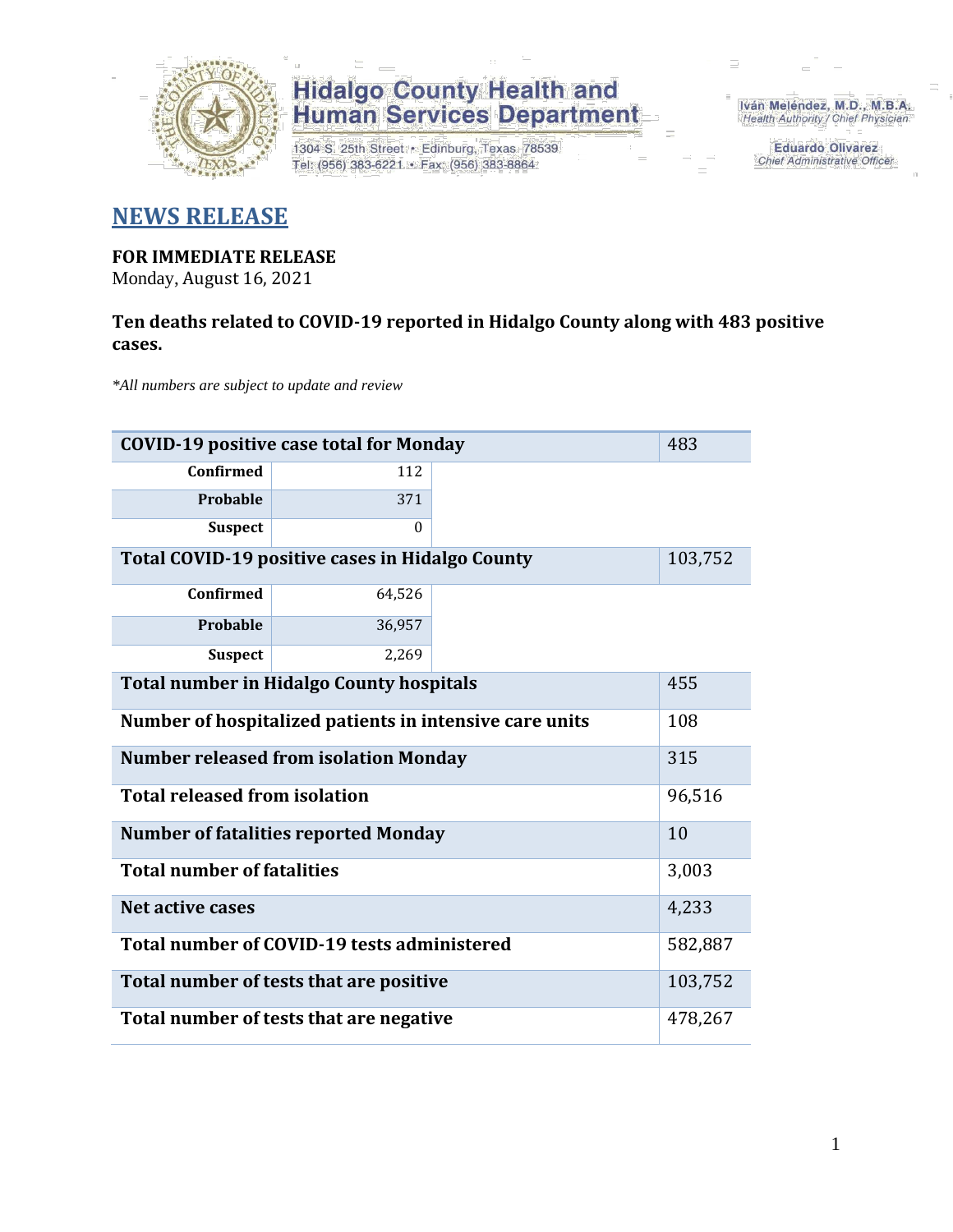

1304 S. 25th Street · Edinburg, Texas 78539 Tel: (956) 383-6221 · Fax: (956) 383-8864

Iván Meléndez, M.D., M.B.A. Health Authority / Chief Physician

> **Eduardo Olivarez Chief Administrative Officer**

### **NEWS RELEASE**

#### **FOR IMMEDIATE RELEASE**

Monday, August 16, 2021

#### **Ten deaths related to COVID-19 reported in Hidalgo County along with 483 positive cases.**

*\*All numbers are subject to update and review*

| <b>COVID-19 positive case total for Monday</b>  |                                                         |  |         |  |  |  |
|-------------------------------------------------|---------------------------------------------------------|--|---------|--|--|--|
| <b>Confirmed</b>                                | 112                                                     |  |         |  |  |  |
| <b>Probable</b>                                 | 371                                                     |  |         |  |  |  |
| <b>Suspect</b>                                  | $\Omega$                                                |  |         |  |  |  |
| Total COVID-19 positive cases in Hidalgo County |                                                         |  |         |  |  |  |
| <b>Confirmed</b>                                | 64,526                                                  |  |         |  |  |  |
| Probable                                        | 36,957                                                  |  |         |  |  |  |
| <b>Suspect</b>                                  | 2,269                                                   |  |         |  |  |  |
| <b>Total number in Hidalgo County hospitals</b> | 455                                                     |  |         |  |  |  |
|                                                 | Number of hospitalized patients in intensive care units |  | 108     |  |  |  |
|                                                 | <b>Number released from isolation Monday</b>            |  | 315     |  |  |  |
| <b>Total released from isolation</b>            |                                                         |  | 96,516  |  |  |  |
|                                                 | <b>Number of fatalities reported Monday</b>             |  | 10      |  |  |  |
| <b>Total number of fatalities</b>               |                                                         |  | 3,003   |  |  |  |
| <b>Net active cases</b>                         |                                                         |  | 4,233   |  |  |  |
|                                                 | Total number of COVID-19 tests administered             |  | 582,887 |  |  |  |
| Total number of tests that are positive         | 103,752                                                 |  |         |  |  |  |
| Total number of tests that are negative         | 478,267                                                 |  |         |  |  |  |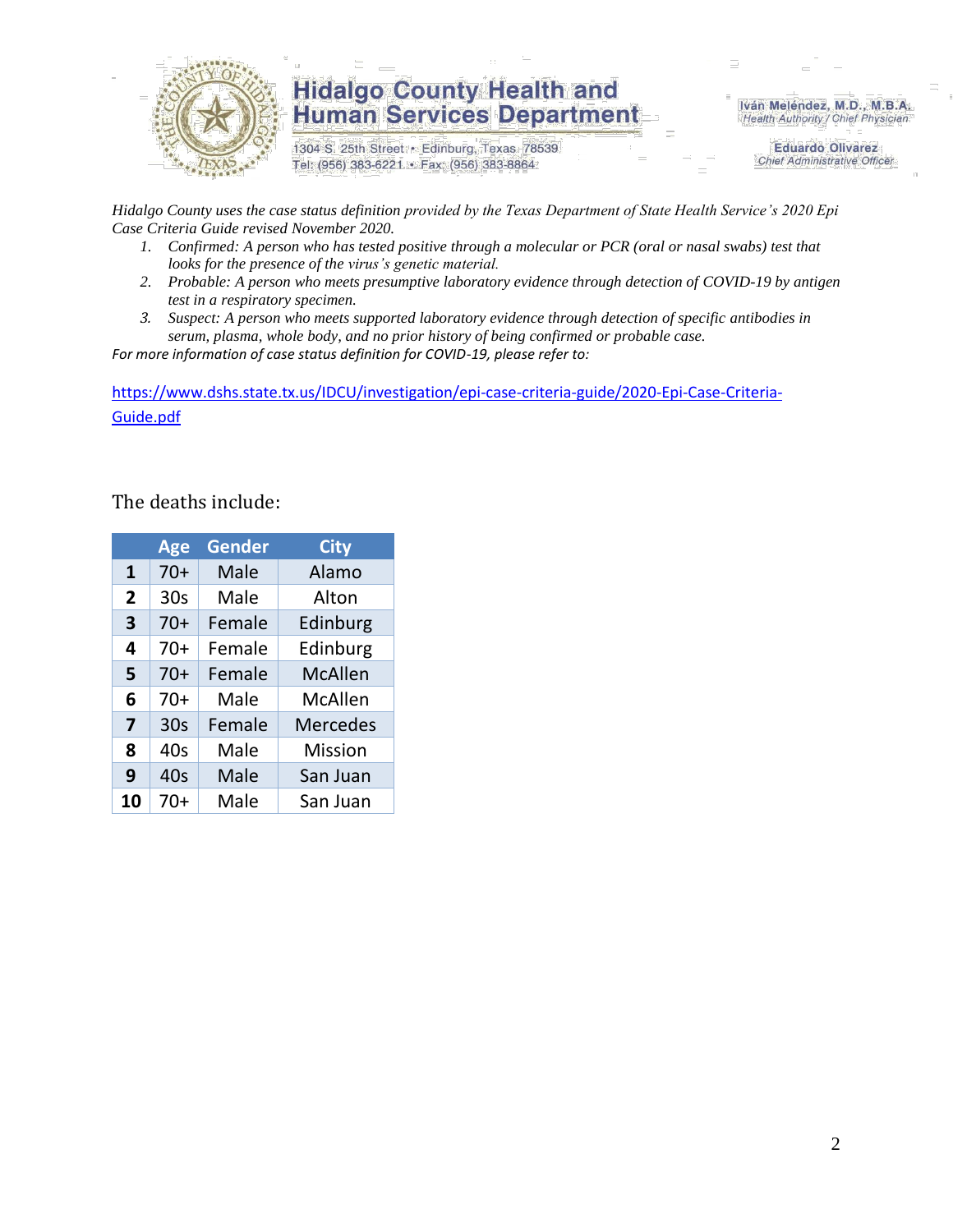

1304 S. 25th Street · Edinburg, Texas 78539 Tel: (956) 383-6221 · Fax: (956) 383-8864

Iván Meléndez, M.D., M.B.A. Health Authority / Chief Physician

> **Eduardo Olivarez Chief Administrative Officer**

*Hidalgo County uses the case status definition provided by the Texas Department of State Health Service's 2020 Epi Case Criteria Guide revised November 2020.*

- *1. Confirmed: A person who has tested positive through a molecular or PCR (oral or nasal swabs) test that looks for the presence of the virus's genetic material.*
- *2. Probable: A person who meets presumptive laboratory evidence through detection of COVID-19 by antigen test in a respiratory specimen.*
- *3. Suspect: A person who meets supported laboratory evidence through detection of specific antibodies in serum, plasma, whole body, and no prior history of being confirmed or probable case.*

*For more information of case status definition for COVID-19, please refer to:*

[https://www.dshs.state.tx.us/IDCU/investigation/epi-case-criteria-guide/2020-Epi-Case-Criteria-](https://www.dshs.state.tx.us/IDCU/investigation/epi-case-criteria-guide/2020-Epi-Case-Criteria-Guide.pdf)[Guide.pdf](https://www.dshs.state.tx.us/IDCU/investigation/epi-case-criteria-guide/2020-Epi-Case-Criteria-Guide.pdf)

#### The deaths include:

|                | <b>Age</b>      | <b>Gender</b> | <b>City</b>     |
|----------------|-----------------|---------------|-----------------|
| $\mathbf{1}$   | $70+$           | Male          | Alamo           |
| $\overline{2}$ | 30 <sub>s</sub> | Male          | Alton           |
| 3              | $70+$           | Female        | Edinburg        |
| 4              | $70+$           | Female        | Edinburg        |
| 5              | $70+$           | Female        | <b>McAllen</b>  |
| 6              | $70+$           | Male          | McAllen         |
| 7              | 30 <sub>s</sub> | Female        | <b>Mercedes</b> |
| 8              | 40s             | Male          | <b>Mission</b>  |
| 9              | 40s             | Male          | San Juan        |
| 10             | 70+             | Male          | San Juan        |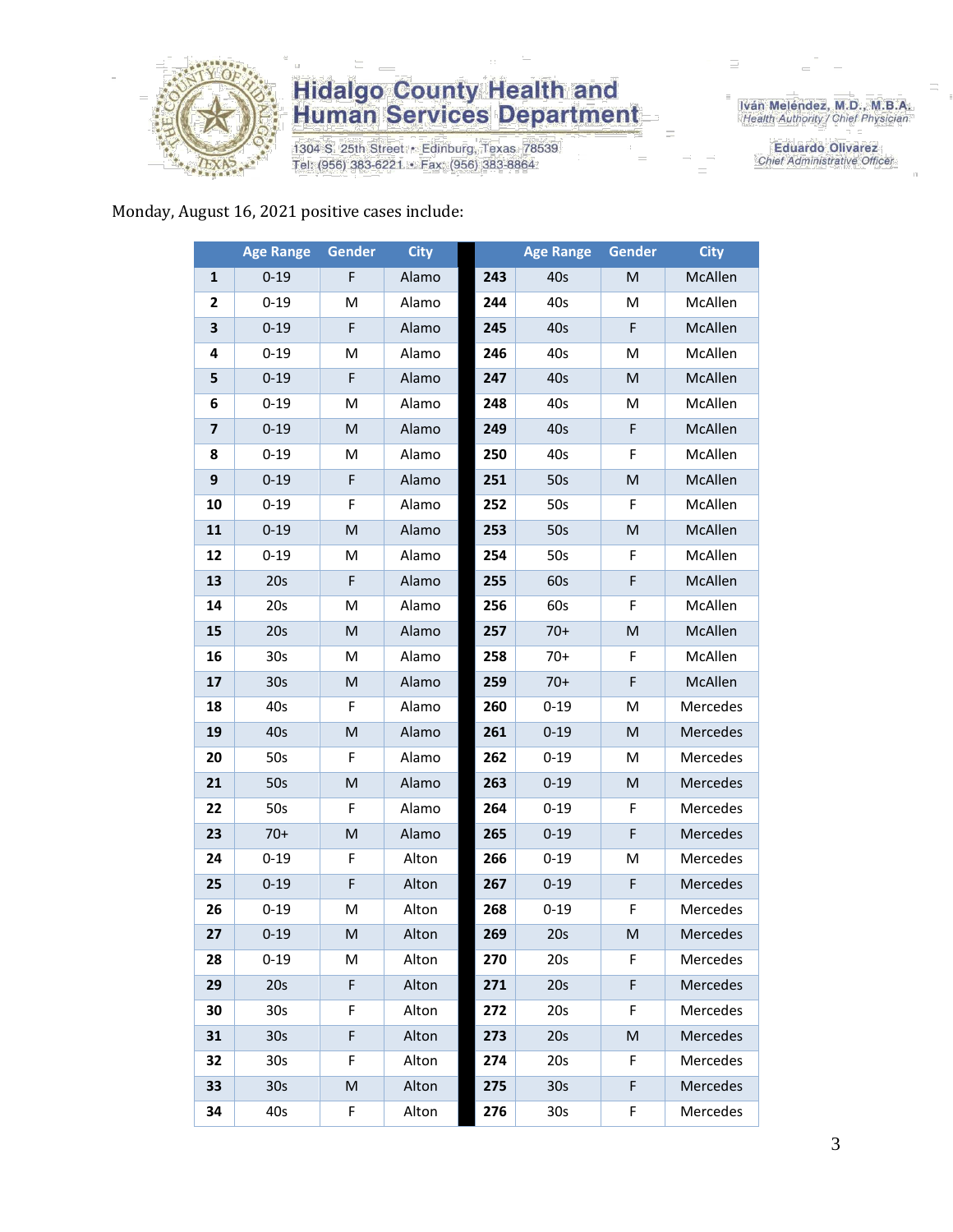

1304 S. 25th Street · Edinburg, Texas 78539 Tel: (956) 383-6221 · Fax: (956) 383-8864

Iván Meléndez, M.D., M.B.A.<br>Health Authority / Chief Physician

**Eduardo Olivarez** Chief Administrative Officer

#### Monday, August 16, 2021 positive cases include:

|                         | <b>Age Range</b> | <b>Gender</b> | <b>City</b> |     | <b>Age Range</b> | <b>Gender</b> | <b>City</b> |
|-------------------------|------------------|---------------|-------------|-----|------------------|---------------|-------------|
| 1                       | $0 - 19$         | F             | Alamo       | 243 | 40s              | M             | McAllen     |
| 2                       | $0 - 19$         | м             | Alamo       | 244 | 40s              | M             | McAllen     |
| 3                       | $0 - 19$         | F             | Alamo       | 245 | 40s              | F             | McAllen     |
| 4                       | $0 - 19$         | М             | Alamo       | 246 | 40s              | М             | McAllen     |
| 5                       | $0 - 19$         | F             | Alamo       | 247 | 40s              | M             | McAllen     |
| 6                       | $0 - 19$         | M             | Alamo       | 248 | 40s              | M             | McAllen     |
| $\overline{\mathbf{z}}$ | $0 - 19$         | M             | Alamo       | 249 | 40s              | F             | McAllen     |
| 8                       | $0 - 19$         | M             | Alamo       | 250 | 40s              | F             | McAllen     |
| 9                       | $0 - 19$         | F             | Alamo       | 251 | 50s              | M             | McAllen     |
| 10                      | $0 - 19$         | F             | Alamo       | 252 | 50s              | F             | McAllen     |
| 11                      | $0 - 19$         | M             | Alamo       | 253 | 50s              | M             | McAllen     |
| 12                      | $0 - 19$         | M             | Alamo       | 254 | 50s              | F             | McAllen     |
| 13                      | 20s              | F             | Alamo       | 255 | 60s              | F             | McAllen     |
| 14                      | 20s              | M             | Alamo       | 256 | 60s              | F             | McAllen     |
| 15                      | 20s              | M             | Alamo       | 257 | $70+$            | M             | McAllen     |
| 16                      | 30 <sub>s</sub>  | M             | Alamo       | 258 | $70+$            | F             | McAllen     |
| 17                      | 30s              | M             | Alamo       | 259 | $70+$            | F             | McAllen     |
| 18                      | 40s              | F             | Alamo       | 260 | $0 - 19$         | M             | Mercedes    |
| 19                      | 40s              | M             | Alamo       | 261 | $0 - 19$         | M             | Mercedes    |
| 20                      | 50s              | F             | Alamo       | 262 | $0 - 19$         | M             | Mercedes    |
| 21                      | 50s              | M             | Alamo       | 263 | $0 - 19$         | M             | Mercedes    |
| 22                      | 50s              | F             | Alamo       | 264 | $0 - 19$         | F             | Mercedes    |
| 23                      | $70+$            | M             | Alamo       | 265 | $0 - 19$         | F             | Mercedes    |
| 24                      | $0 - 19$         | F             | Alton       | 266 | $0 - 19$         | Μ             | Mercedes    |
| 25                      | $0 - 19$         | F             | Alton       | 267 | $0 - 19$         | F             | Mercedes    |
| 26                      | $0 - 19$         | M             | Alton       | 268 | $0 - 19$         | F             | Mercedes    |
| 27                      | $0 - 19$         | M             | Alton       | 269 | 20s              | M             | Mercedes    |
| 28                      | $0 - 19$         | м             | Alton       | 270 | 20s              | F             | Mercedes    |
| 29                      | 20s              | F             | Alton       | 271 | 20s              | F             | Mercedes    |
| 30                      | 30 <sub>s</sub>  | F             | Alton       | 272 | 20s              | F             | Mercedes    |
| 31                      | 30 <sub>s</sub>  | F             | Alton       | 273 | 20s              | M             | Mercedes    |
| 32                      | 30s              | F             | Alton       | 274 | 20s              | F             | Mercedes    |
| 33                      | 30 <sub>s</sub>  | M             | Alton       | 275 | 30 <sub>s</sub>  | F             | Mercedes    |
| 34                      | 40s              | F             | Alton       | 276 | 30 <sub>s</sub>  | F             | Mercedes    |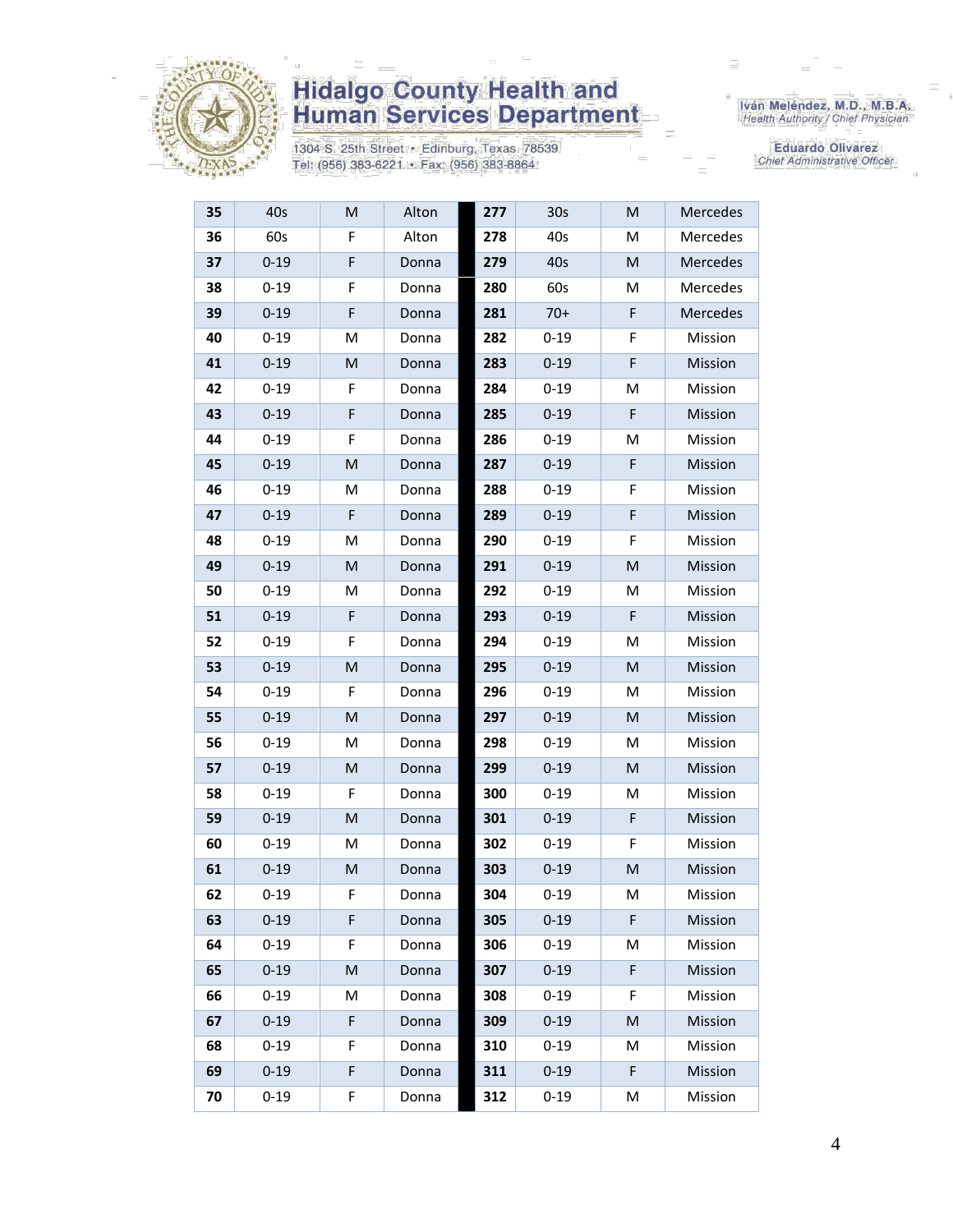

1304 S. 25th Street · Edinburg, Texas 78539 Tel: (956) 383-6221 · Fax: (956) 383-8864

Iván Meléndez, M.D., M.B.A.<br>Health Authority / Chief Physician

| 35 | 40s      | M  | Alton | 277 | 30 <sub>s</sub> | M  | Mercedes |
|----|----------|----|-------|-----|-----------------|----|----------|
| 36 | 60s      | F  | Alton | 278 | 40s             | M  | Mercedes |
| 37 | $0 - 19$ | F  | Donna | 279 | 40s             | M  | Mercedes |
| 38 | $0 - 19$ | F  | Donna | 280 | 60s             | Μ  | Mercedes |
| 39 | $0 - 19$ | F  | Donna | 281 | $70+$           | F  | Mercedes |
| 40 | $0 - 19$ | M  | Donna | 282 | $0 - 19$        | F  | Mission  |
| 41 | $0 - 19$ | M  | Donna | 283 | $0 - 19$        | F  | Mission  |
| 42 | $0 - 19$ | F  | Donna | 284 | $0 - 19$        | Μ  | Mission  |
| 43 | $0 - 19$ | F  | Donna | 285 | $0 - 19$        | F  | Mission  |
| 44 | $0 - 19$ | F  | Donna | 286 | $0 - 19$        | M  | Mission  |
| 45 | $0 - 19$ | M  | Donna | 287 | $0 - 19$        | F  | Mission  |
| 46 | $0 - 19$ | М  | Donna | 288 | $0 - 19$        | F  | Mission  |
| 47 | $0 - 19$ | F  | Donna | 289 | $0 - 19$        | F  | Mission  |
| 48 | $0 - 19$ | M  | Donna | 290 | $0 - 19$        | F  | Mission  |
| 49 | $0 - 19$ | M  | Donna | 291 | $0 - 19$        | M  | Mission  |
| 50 | $0 - 19$ | М  | Donna | 292 | $0 - 19$        | M  | Mission  |
| 51 | $0 - 19$ | F  | Donna | 293 | $0 - 19$        | F  | Mission  |
| 52 | $0 - 19$ | F  | Donna | 294 | $0 - 19$        | Μ  | Mission  |
| 53 | $0 - 19$ | M  | Donna | 295 | $0 - 19$        | M  | Mission  |
| 54 | $0 - 19$ | F  | Donna | 296 | $0 - 19$        | Μ  | Mission  |
| 55 | $0 - 19$ | M  | Donna | 297 | $0 - 19$        | M  | Mission  |
| 56 | $0 - 19$ | M  | Donna | 298 | $0 - 19$        | Μ  | Mission  |
| 57 | $0 - 19$ | M  | Donna | 299 | $0 - 19$        | M  | Mission  |
| 58 | $0 - 19$ | F  | Donna | 300 | $0 - 19$        | Μ  | Mission  |
| 59 | $0 - 19$ | M  | Donna | 301 | $0 - 19$        | F  | Mission  |
| 60 | $0 - 19$ | м  | Donna | 302 | $0 - 19$        | F  | Mission  |
| 61 | $0 - 19$ | M  | Donna | 303 | $0 - 19$        | M  | Mission  |
| 62 | $0 - 19$ | F. | Donna | 304 | $0 - 19$        | M  | Mission  |
| 63 | $0 - 19$ | F. | Donna | 305 | $0 - 19$        | F. | Mission  |
| 64 | $0 - 19$ | F  | Donna | 306 | $0 - 19$        | M  | Mission  |
| 65 | $0 - 19$ | M  | Donna | 307 | $0 - 19$        | F  | Mission  |
| 66 | $0 - 19$ | М  | Donna | 308 | $0 - 19$        | F  | Mission  |
| 67 | $0 - 19$ | F  | Donna | 309 | $0 - 19$        | M  | Mission  |
| 68 | $0 - 19$ | F  | Donna | 310 | $0 - 19$        | M  | Mission  |
| 69 | $0 - 19$ | F  | Donna | 311 | $0 - 19$        | F  | Mission  |
| 70 | $0 - 19$ | F  | Donna | 312 | $0 - 19$        | М  | Mission  |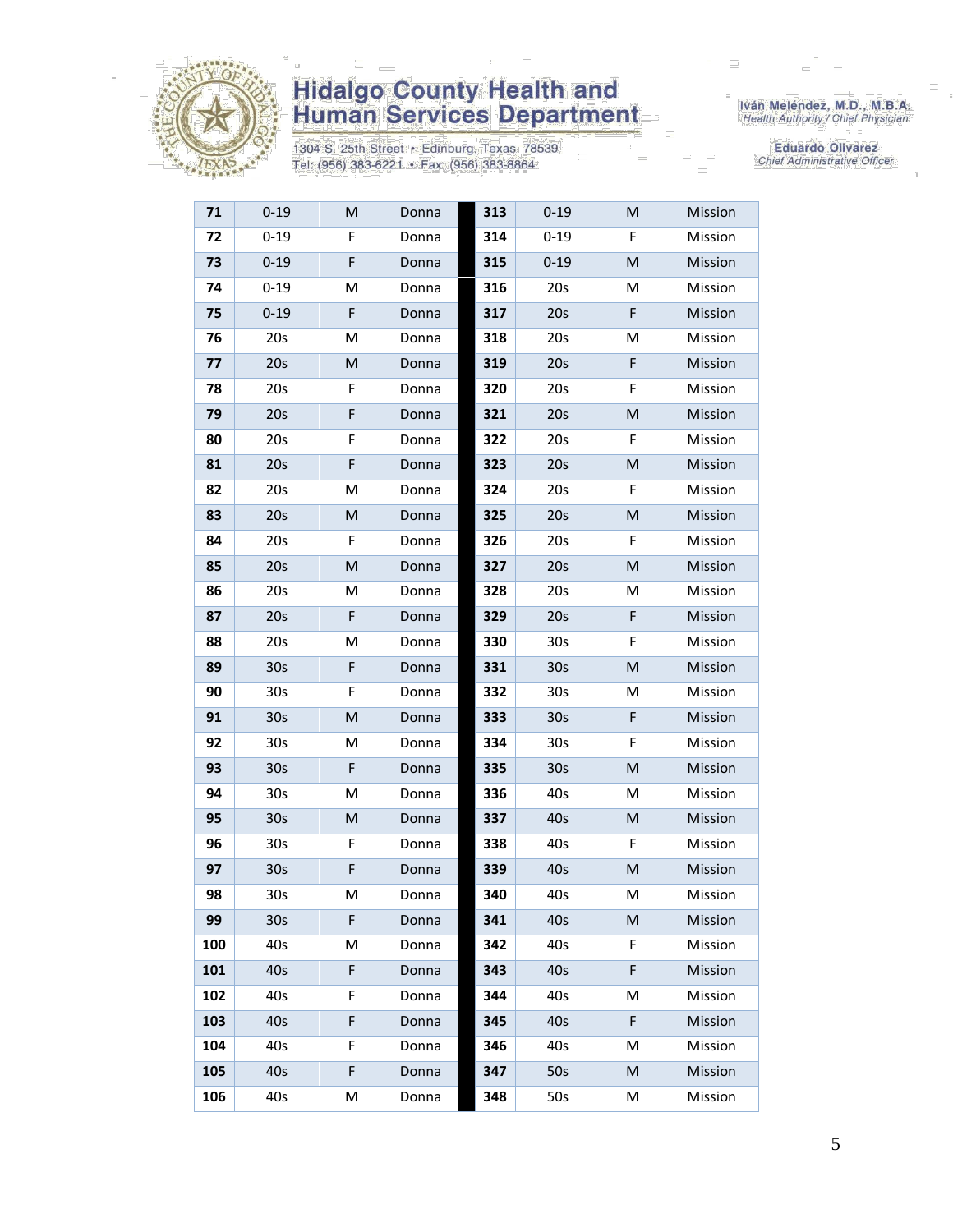

1304 S. 25th Street • Edinburg, Texas 78539<br>Tel: (956) 383-6221 • Fax: (956) 383-8864

Iván Meléndez, M.D., M.B.A.<br>Health Authority / Chief Physician

| 71  | $0 - 19$        | M  | Donna | 313 | $0 - 19$        | M | Mission |
|-----|-----------------|----|-------|-----|-----------------|---|---------|
| 72  | $0 - 19$        | F  | Donna | 314 | $0 - 19$        | F | Mission |
| 73  | $0 - 19$        | F  | Donna | 315 | $0 - 19$        | M | Mission |
| 74  | $0 - 19$        | M  | Donna | 316 | 20s             | M | Mission |
| 75  | $0 - 19$        | F  | Donna | 317 | 20s             | F | Mission |
| 76  | 20s             | M  | Donna | 318 | 20s             | M | Mission |
| 77  | 20s             | M  | Donna | 319 | 20s             | F | Mission |
| 78  | 20s             | F  | Donna | 320 | 20s             | F | Mission |
| 79  | 20s             | F  | Donna | 321 | 20s             | M | Mission |
| 80  | 20s             | F  | Donna | 322 | 20s             | F | Mission |
| 81  | 20s             | F  | Donna | 323 | 20s             | M | Mission |
| 82  | 20s             | M  | Donna | 324 | 20s             | F | Mission |
| 83  | 20s             | M  | Donna | 325 | 20s             | M | Mission |
| 84  | 20s             | F  | Donna | 326 | 20s             | F | Mission |
| 85  | 20s             | M  | Donna | 327 | 20s             | M | Mission |
| 86  | 20s             | M  | Donna | 328 | 20s             | M | Mission |
| 87  | 20s             | F  | Donna | 329 | 20s             | F | Mission |
| 88  | 20s             | M  | Donna | 330 | 30 <sub>s</sub> | F | Mission |
| 89  | 30 <sub>s</sub> | F  | Donna | 331 | 30 <sub>s</sub> | M | Mission |
| 90  | 30s             | F  | Donna | 332 | 30 <sub>s</sub> | M | Mission |
| 91  | 30 <sub>s</sub> | M  | Donna | 333 | 30 <sub>s</sub> | F | Mission |
| 92  | 30 <sub>s</sub> | M  | Donna | 334 | 30 <sub>s</sub> | F | Mission |
| 93  | 30 <sub>s</sub> | F  | Donna | 335 | 30 <sub>s</sub> | M | Mission |
| 94  | 30s             | M  | Donna | 336 | 40s             | M | Mission |
| 95  | 30 <sub>s</sub> | M  | Donna | 337 | 40s             | M | Mission |
| 96  | 30s             | F  | Donna | 338 | 40s             | F | Mission |
| 97  | 30s             | F  | Donna | 339 | 40s             | M | Mission |
| 98  | 30s             | M  | Donna | 340 | 40s             | M | Mission |
| 99  | 30 <sub>s</sub> | F. | Donna | 341 | 40s             | M | Mission |
| 100 | 40s             | M  | Donna | 342 | 40s             | F | Mission |
| 101 | 40s             | F  | Donna | 343 | 40s             | F | Mission |
| 102 | 40s             | F  | Donna | 344 | 40s             | M | Mission |
| 103 | 40s             | F  | Donna | 345 | 40s             | F | Mission |
| 104 | 40s             | F  | Donna | 346 | 40s             | M | Mission |
| 105 | 40s             | F  | Donna | 347 | 50s             | M | Mission |
| 106 | 40s             | M  | Donna | 348 | 50s             | М | Mission |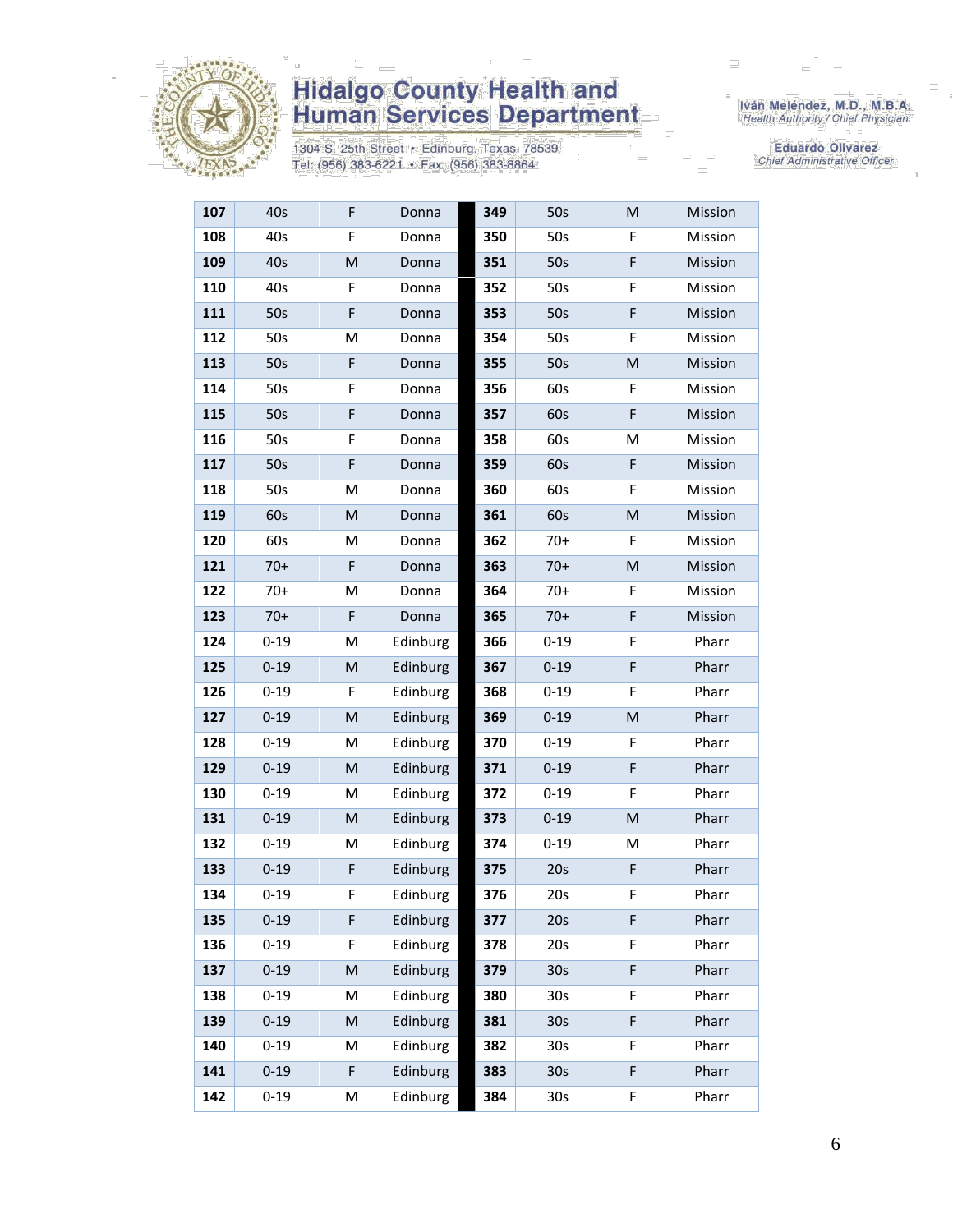

1304 S. 25th Street • Edinburg, Texas 78539<br>Tel: (956) 383-6221 • Fax: (956) 383-8864

Iván Meléndez, M.D., M.B.A.<br>Health Authority / Chief Physician

| 107 | 40s      | F | Donna    | 349 | 50s             | M | Mission |
|-----|----------|---|----------|-----|-----------------|---|---------|
| 108 | 40s      | F | Donna    | 350 | 50s             | F | Mission |
| 109 | 40s      | M | Donna    | 351 | 50s             | F | Mission |
| 110 | 40s      | F | Donna    | 352 | 50s             | F | Mission |
| 111 | 50s      | F | Donna    | 353 | 50s             | F | Mission |
| 112 | 50s      | M | Donna    | 354 | 50s             | F | Mission |
| 113 | 50s      | F | Donna    | 355 | 50s             | M | Mission |
| 114 | 50s      | F | Donna    | 356 | 60s             | F | Mission |
| 115 | 50s      | F | Donna    | 357 | 60s             | F | Mission |
| 116 | 50s      | F | Donna    | 358 | 60s             | Μ | Mission |
| 117 | 50s      | F | Donna    | 359 | 60s             | F | Mission |
| 118 | 50s      | M | Donna    | 360 | 60s             | F | Mission |
| 119 | 60s      | M | Donna    | 361 | 60s             | M | Mission |
| 120 | 60s      | M | Donna    | 362 | $70+$           | F | Mission |
| 121 | $70+$    | F | Donna    | 363 | $70+$           | M | Mission |
| 122 | $70+$    | M | Donna    | 364 | $70+$           | F | Mission |
| 123 | $70+$    | F | Donna    | 365 | $70+$           | F | Mission |
| 124 | $0 - 19$ | M | Edinburg | 366 | $0 - 19$        | F | Pharr   |
| 125 | $0 - 19$ | M | Edinburg | 367 | $0 - 19$        | F | Pharr   |
| 126 | $0 - 19$ | F | Edinburg | 368 | $0 - 19$        | F | Pharr   |
| 127 | $0 - 19$ | M | Edinburg | 369 | $0 - 19$        | M | Pharr   |
| 128 | $0 - 19$ | M | Edinburg | 370 | $0 - 19$        | F | Pharr   |
| 129 | $0 - 19$ | M | Edinburg | 371 | $0 - 19$        | F | Pharr   |
| 130 | $0 - 19$ | M | Edinburg | 372 | $0 - 19$        | F | Pharr   |
| 131 | $0 - 19$ | M | Edinburg | 373 | $0 - 19$        | M | Pharr   |
| 132 | $0 - 19$ | М | Edinburg | 374 | $0 - 19$        | М | Pharr   |
| 133 | $0 - 19$ | F | Edinburg | 375 | 20s             | F | Pharr   |
| 134 | $0 - 19$ | F | Edinburg | 376 | 20s             | F | Pharr   |
| 135 | $0 - 19$ | F | Edinburg | 377 | 20s             | F | Pharr   |
| 136 | $0 - 19$ | F | Edinburg | 378 | 20s             | F | Pharr   |
| 137 | $0 - 19$ | M | Edinburg | 379 | 30 <sub>s</sub> | F | Pharr   |
| 138 | $0 - 19$ | M | Edinburg | 380 | 30s             | F | Pharr   |
| 139 | $0 - 19$ | M | Edinburg | 381 | 30 <sub>s</sub> | F | Pharr   |
| 140 | $0 - 19$ | M | Edinburg | 382 | 30 <sub>s</sub> | F | Pharr   |
| 141 | $0 - 19$ | F | Edinburg | 383 | 30 <sub>s</sub> | F | Pharr   |
| 142 | $0 - 19$ | М | Edinburg | 384 | 30 <sub>s</sub> | F | Pharr   |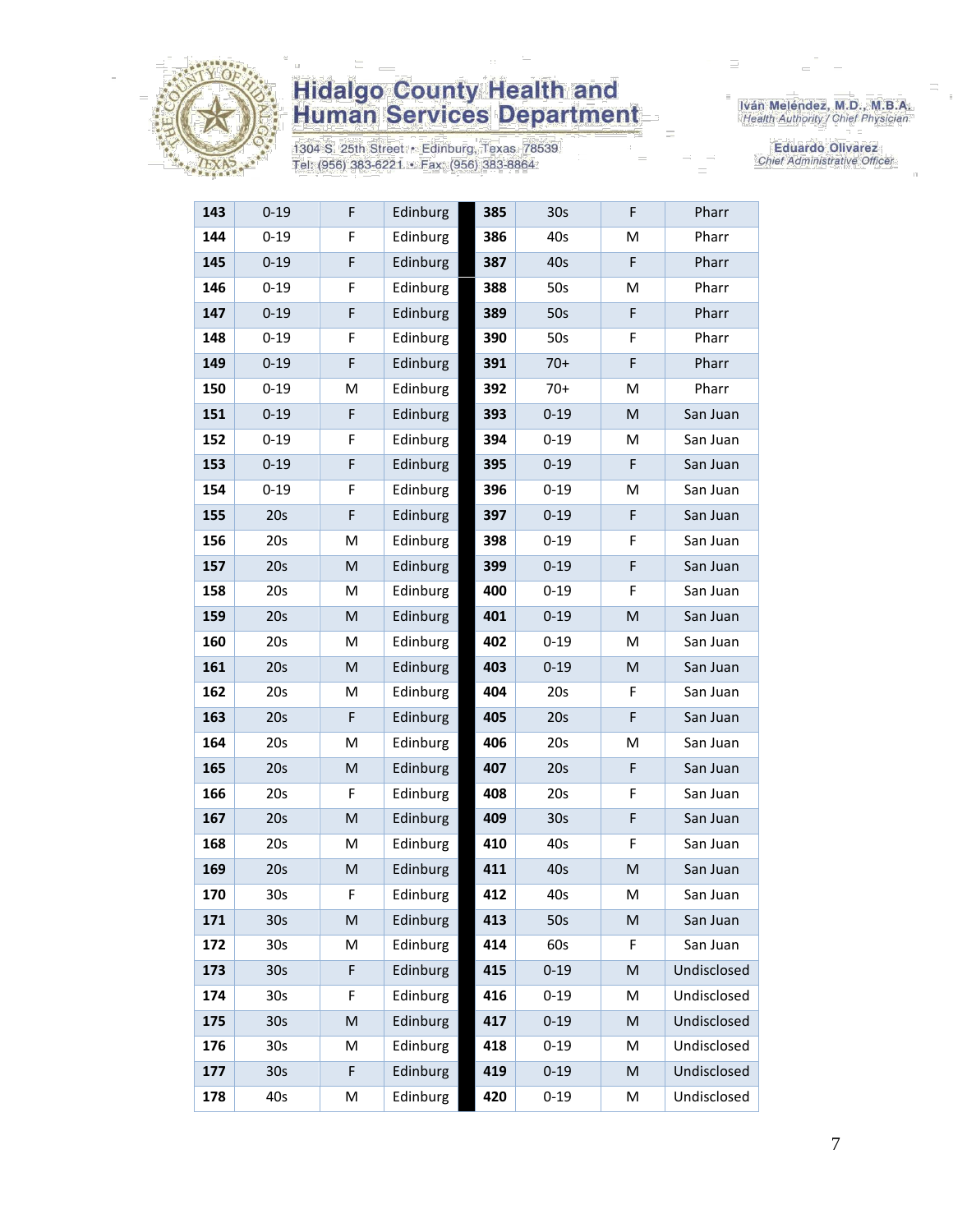

1304 S. 25th Street · Edinburg, Texas 78539 Tel: (956) 383-6221 · Fax: (956) 383-8864

Iván Meléndez, M.D., M.B.A.<br>Health Authority / Chief Physician

| 143 | $0 - 19$        | F           | Edinburg | 385 | 30 <sub>s</sub> | F | Pharr       |
|-----|-----------------|-------------|----------|-----|-----------------|---|-------------|
| 144 | $0 - 19$        | F           | Edinburg | 386 | 40s             | M | Pharr       |
| 145 | $0 - 19$        | F           | Edinburg | 387 | 40s             | F | Pharr       |
| 146 | $0 - 19$        | F           | Edinburg | 388 | 50s             | M | Pharr       |
| 147 | $0 - 19$        | F           | Edinburg | 389 | 50s             | F | Pharr       |
| 148 | $0 - 19$        | F           | Edinburg | 390 | 50s             | F | Pharr       |
| 149 | $0 - 19$        | F           | Edinburg | 391 | $70+$           | F | Pharr       |
| 150 | $0 - 19$        | М           | Edinburg | 392 | $70+$           | M | Pharr       |
| 151 | $0 - 19$        | $\mathsf F$ | Edinburg | 393 | $0 - 19$        | M | San Juan    |
| 152 | $0 - 19$        | F           | Edinburg | 394 | $0 - 19$        | M | San Juan    |
| 153 | $0 - 19$        | $\mathsf F$ | Edinburg | 395 | $0 - 19$        | F | San Juan    |
| 154 | $0 - 19$        | F           | Edinburg | 396 | $0 - 19$        | M | San Juan    |
| 155 | 20s             | F           | Edinburg | 397 | $0 - 19$        | F | San Juan    |
| 156 | 20s             | M           | Edinburg | 398 | $0 - 19$        | F | San Juan    |
| 157 | 20s             | M           | Edinburg | 399 | $0 - 19$        | F | San Juan    |
| 158 | 20s             | м           | Edinburg | 400 | $0 - 19$        | F | San Juan    |
| 159 | 20s             | M           | Edinburg | 401 | $0 - 19$        | M | San Juan    |
| 160 | 20s             | M           | Edinburg | 402 | $0 - 19$        | M | San Juan    |
| 161 | 20s             | M           | Edinburg | 403 | $0 - 19$        | M | San Juan    |
| 162 | 20s             | М           | Edinburg | 404 | 20s             | F | San Juan    |
| 163 | 20s             | F           | Edinburg | 405 | 20s             | F | San Juan    |
| 164 | 20s             | M           | Edinburg | 406 | 20s             | M | San Juan    |
| 165 | 20s             | M           | Edinburg | 407 | 20s             | F | San Juan    |
| 166 | 20s             | F           | Edinburg | 408 | 20s             | F | San Juan    |
| 167 | 20s             | M           | Edinburg | 409 | 30 <sub>s</sub> | F | San Juan    |
| 168 | 20s             | М           | Edinburg | 410 | 40s             | F | San Juan    |
| 169 | 20s             | M           | Edinburg | 411 | 40s             | M | San Juan    |
| 170 | 30 <sub>s</sub> | F           | Edinburg | 412 | 40s             | M | San Juan    |
| 171 | 30 <sub>s</sub> | M           | Edinburg | 413 | 50s             | M | San Juan    |
| 172 | 30 <sub>s</sub> | M           | Edinburg | 414 | 60s             | F | San Juan    |
| 173 | 30 <sub>s</sub> | F           | Edinburg | 415 | $0 - 19$        | M | Undisclosed |
| 174 | 30 <sub>s</sub> | F           | Edinburg | 416 | $0 - 19$        | M | Undisclosed |
| 175 | 30 <sub>s</sub> | M           | Edinburg | 417 | $0 - 19$        | M | Undisclosed |
| 176 | 30 <sub>s</sub> | M           | Edinburg | 418 | $0 - 19$        | M | Undisclosed |
| 177 | 30 <sub>s</sub> | $\mathsf F$ | Edinburg | 419 | $0 - 19$        | M | Undisclosed |
| 178 | 40s             | М           | Edinburg | 420 | $0 - 19$        | М | Undisclosed |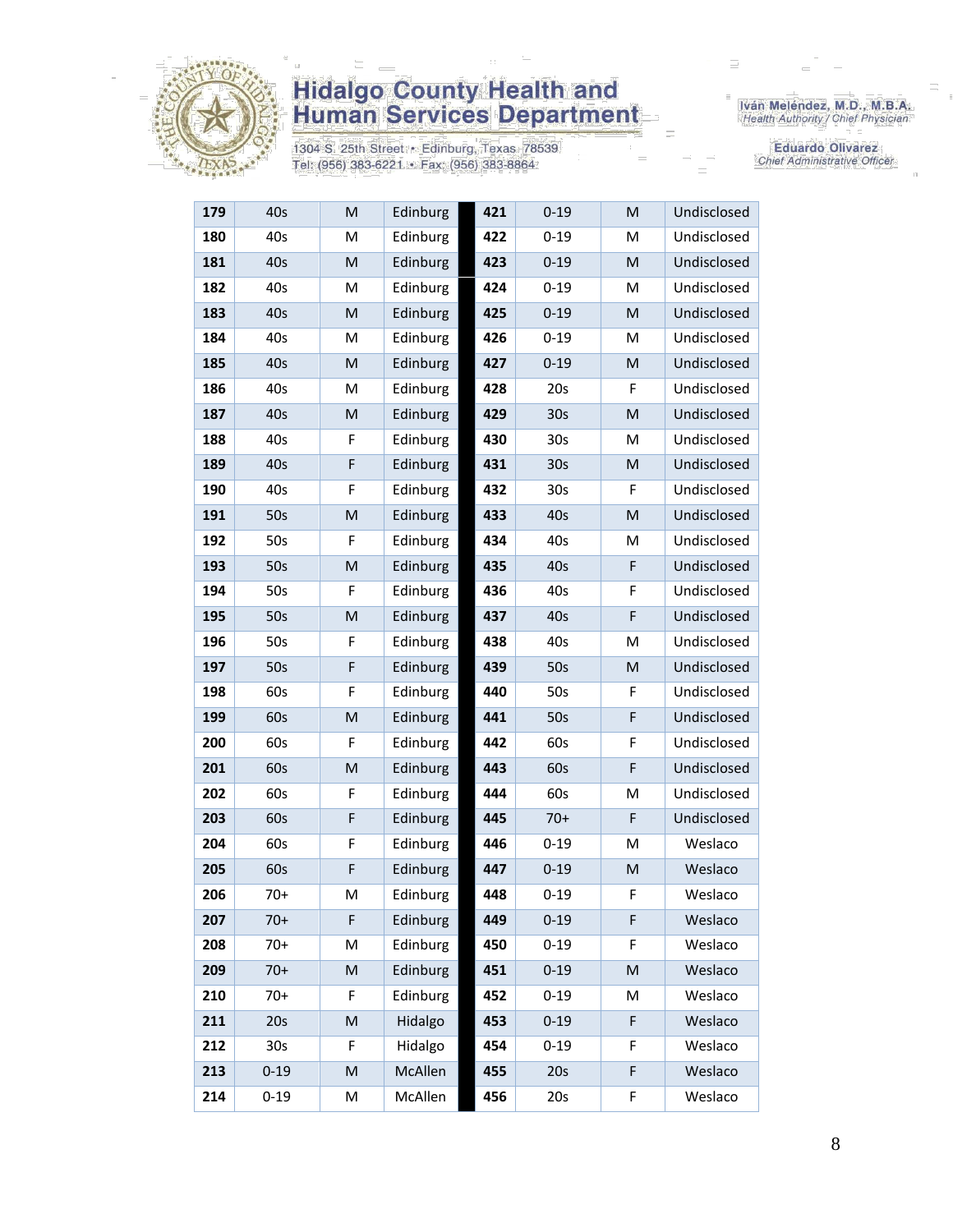

1304 S. 25th Street · Edinburg, Texas 78539 Tel: (956) 383-6221 · Fax: (956) 383-8864

Iván Meléndez, M.D., M.B.A.<br>Health Authority / Chief Physician

| 179 | 40s      | M                                                                                                          | Edinburg | 421 | $0 - 19$        | M | Undisclosed |
|-----|----------|------------------------------------------------------------------------------------------------------------|----------|-----|-----------------|---|-------------|
| 180 | 40s      | M                                                                                                          | Edinburg | 422 | $0 - 19$        | Μ | Undisclosed |
| 181 | 40s      | M                                                                                                          | Edinburg | 423 | $0 - 19$        | M | Undisclosed |
| 182 | 40s      | M                                                                                                          | Edinburg | 424 | $0 - 19$        | M | Undisclosed |
| 183 | 40s      | M                                                                                                          | Edinburg | 425 | $0 - 19$        | M | Undisclosed |
| 184 | 40s      | M                                                                                                          | Edinburg | 426 | $0 - 19$        | Μ | Undisclosed |
| 185 | 40s      | M                                                                                                          | Edinburg | 427 | $0 - 19$        | M | Undisclosed |
| 186 | 40s      | M                                                                                                          | Edinburg | 428 | 20s             | F | Undisclosed |
| 187 | 40s      | M                                                                                                          | Edinburg | 429 | 30 <sub>s</sub> | M | Undisclosed |
| 188 | 40s      | F                                                                                                          | Edinburg | 430 | 30 <sub>s</sub> | M | Undisclosed |
| 189 | 40s      | F                                                                                                          | Edinburg | 431 | 30 <sub>s</sub> | M | Undisclosed |
| 190 | 40s      | F                                                                                                          | Edinburg | 432 | 30 <sub>s</sub> | F | Undisclosed |
| 191 | 50s      | $\mathsf{M}% _{T}=\mathsf{M}_{T}\!\left( a,b\right) ,\ \mathsf{M}_{T}=\mathsf{M}_{T}\!\left( a,b\right) ,$ | Edinburg | 433 | 40s             | M | Undisclosed |
| 192 | 50s      | F                                                                                                          | Edinburg | 434 | 40s             | Μ | Undisclosed |
| 193 | 50s      | M                                                                                                          | Edinburg | 435 | 40s             | F | Undisclosed |
| 194 | 50s      | F                                                                                                          | Edinburg | 436 | 40s             | F | Undisclosed |
| 195 | 50s      | M                                                                                                          | Edinburg | 437 | 40s             | F | Undisclosed |
| 196 | 50s      | F                                                                                                          | Edinburg | 438 | 40s             | Μ | Undisclosed |
| 197 | 50s      | F                                                                                                          | Edinburg | 439 | 50s             | M | Undisclosed |
| 198 | 60s      | F                                                                                                          | Edinburg | 440 | 50s             | F | Undisclosed |
| 199 | 60s      | M                                                                                                          | Edinburg | 441 | 50s             | F | Undisclosed |
| 200 | 60s      | F                                                                                                          | Edinburg | 442 | 60s             | F | Undisclosed |
| 201 | 60s      | M                                                                                                          | Edinburg | 443 | 60s             | F | Undisclosed |
| 202 | 60s      | F                                                                                                          | Edinburg | 444 | 60s             | M | Undisclosed |
| 203 | 60s      | F                                                                                                          | Edinburg | 445 | $70+$           | F | Undisclosed |
| 204 | 60s      | F                                                                                                          | Edinburg | 446 | $0 - 19$        | Μ | Weslaco     |
| 205 | 60s      | F                                                                                                          | Edinburg | 447 | $0 - 19$        | M | Weslaco     |
| 206 | $70+$    | M                                                                                                          | Edinburg | 448 | $0 - 19$        | F | Weslaco     |
| 207 | $70+$    | F                                                                                                          | Edinburg | 449 | $0 - 19$        | F | Weslaco     |
| 208 | $70+$    | M                                                                                                          | Edinburg | 450 | $0 - 19$        | F | Weslaco     |
| 209 | $70+$    | M                                                                                                          | Edinburg | 451 | $0 - 19$        | M | Weslaco     |
| 210 | $70+$    | F                                                                                                          | Edinburg | 452 | $0 - 19$        | M | Weslaco     |
| 211 | 20s      | M                                                                                                          | Hidalgo  | 453 | $0 - 19$        | F | Weslaco     |
| 212 | 30s      | F                                                                                                          | Hidalgo  | 454 | $0 - 19$        | F | Weslaco     |
| 213 | $0 - 19$ | M                                                                                                          | McAllen  | 455 | 20s             | F | Weslaco     |
| 214 | $0 - 19$ | М                                                                                                          | McAllen  | 456 | 20s             | F | Weslaco     |